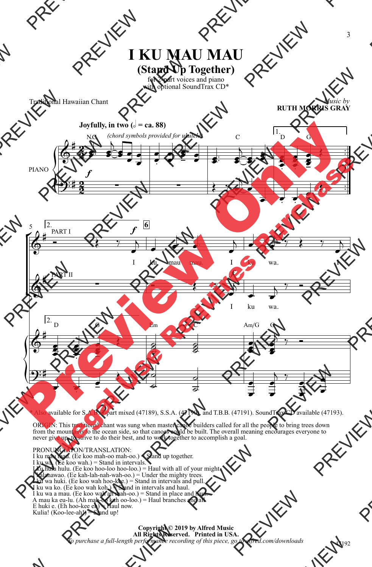**I KU MAU MAU (Stand Up Together)**

for 2-part voices and piano with optional SoundTrax CD\*

Traditional Hawaiian Chant

*Music by* **RUTH MORRIS GRAY**



available for S.A.B./3-part mixed (47189), S.S.A. (47190), and T.B.B. (47191). SoundTrax CD available (47193).

ORIGIN: This traditional chant was sung when master canoe builders called for all the people to bring trees down from the mountains to the ocean side, so that canoes could be built. The overall meaning encourages everyone to never give up, to strive to do their best, and to work together to accomplish a goal.

PRONUNCLATON/TRANSLATION:

- I ku mau mau. (Ee koo mah-oo mah-oo.) = Stand up together.
- I ku wa. (Ee koo wah.) = Stand in intervals.
- I ku hulu hulu. (Ee koo hoo-loo hoo-loo.) = Haul with all of your might.
- I kalanawao. (Ee kah-lah-nah-wah-oo.) = Under the mighty trees.
- I ku wa huki. (Ee koo wah hoo-kee.) = Stand in intervals and pull.
- I ku wa ko. (Ee koo wah koh.) = Stand in intervals and haul.
- I ku wa a mau. (Ee koo wah ah mah-oo.) = Stand in place and haul.
- A mau ka eu-lu. (Ah mah-oo kah oo-loo.) = Haul branches and all.
- E huki e. (Eh hoo-kee eh)  $=$  Haul now.
- Kulia!  $(Koo-lee-ah!) =$  Stand up!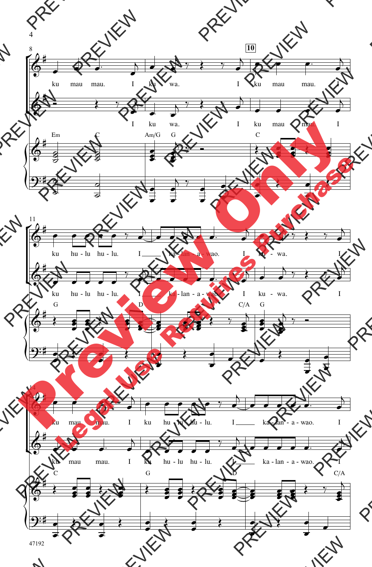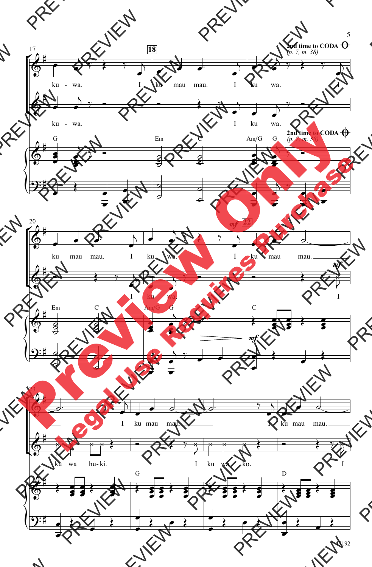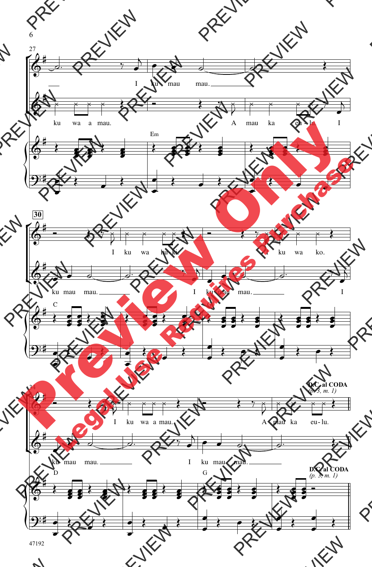

## 47192

6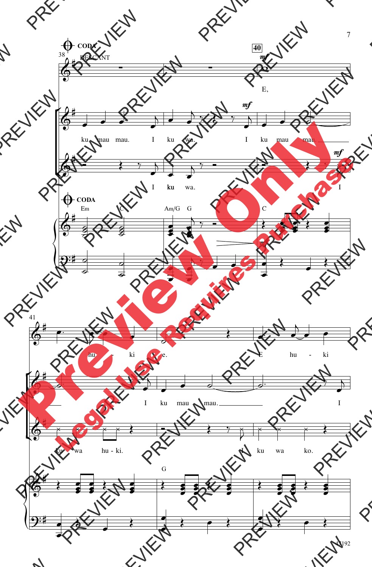![](_page_4_Figure_0.jpeg)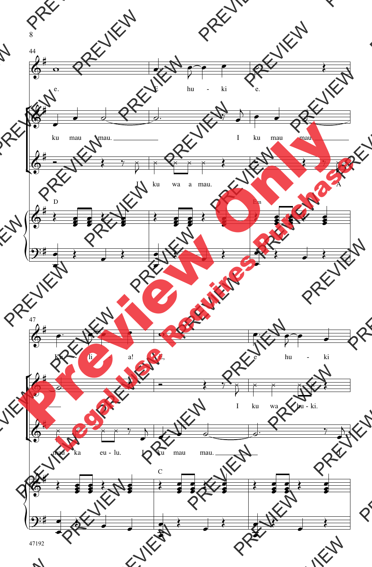![](_page_5_Figure_0.jpeg)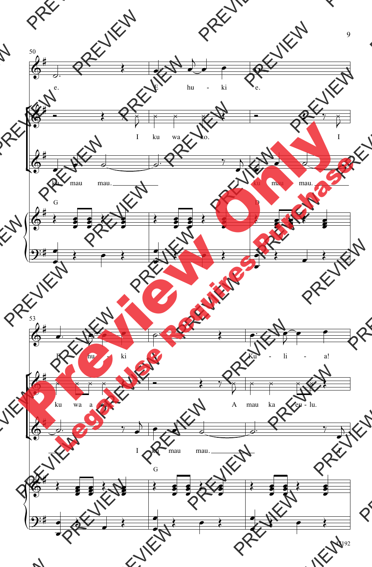![](_page_6_Figure_0.jpeg)